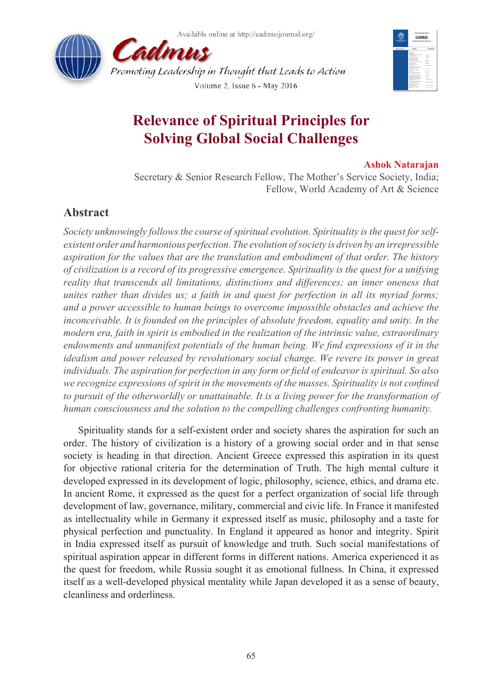



# **Relevance of Spiritual Principles for Solving Global Social Challenges**

### **Ashok Natarajan**

Secretary & Senior Research Fellow, The Mother's Service Society, India; Fellow, World Academy of Art & Science

# **Abstract**

*Society unknowingly follows the course of spiritual evolution. Spirituality is the quest for selfexistent order and harmonious perfection. The evolution of society is driven by an irrepressible aspiration for the values that are the translation and embodiment of that order. The history of civilization is a record of its progressive emergence. Spirituality is the quest for a unifying reality that transcends all limitations, distinctions and differences; an inner oneness that unites rather than divides us; a faith in and quest for perfection in all its myriad forms; and a power accessible to human beings to overcome impossible obstacles and achieve the inconceivable. It is founded on the principles of absolute freedom, equality and unity. In the modern era, faith in spirit is embodied in the realization of the intrinsic value, extraordinary endowments and unmanifest potentials of the human being. We find expressions of it in the idealism and power released by revolutionary social change. We revere its power in great individuals. The aspiration for perfection in any form or field of endeavor is spiritual. So also we recognize expressions of spirit in the movements of the masses. Spirituality is not confined to pursuit of the otherworldly or unattainable. It is a living power for the transformation of human consciousness and the solution to the compelling challenges confronting humanity.*

Spirituality stands for a self-existent order and society shares the aspiration for such an order. The history of civilization is a history of a growing social order and in that sense society is heading in that direction. Ancient Greece expressed this aspiration in its quest for objective rational criteria for the determination of Truth. The high mental culture it developed expressed in its development of logic, philosophy, science, ethics, and drama etc. In ancient Rome, it expressed as the quest for a perfect organization of social life through development of law, governance, military, commercial and civic life. In France it manifested as intellectuality while in Germany it expressed itself as music, philosophy and a taste for physical perfection and punctuality. In England it appeared as honor and integrity. Spirit in India expressed itself as pursuit of knowledge and truth. Such social manifestations of spiritual aspiration appear in different forms in different nations. America experienced it as the quest for freedom, while Russia sought it as emotional fullness. In China, it expressed itself as a well-developed physical mentality while Japan developed it as a sense of beauty, cleanliness and orderliness.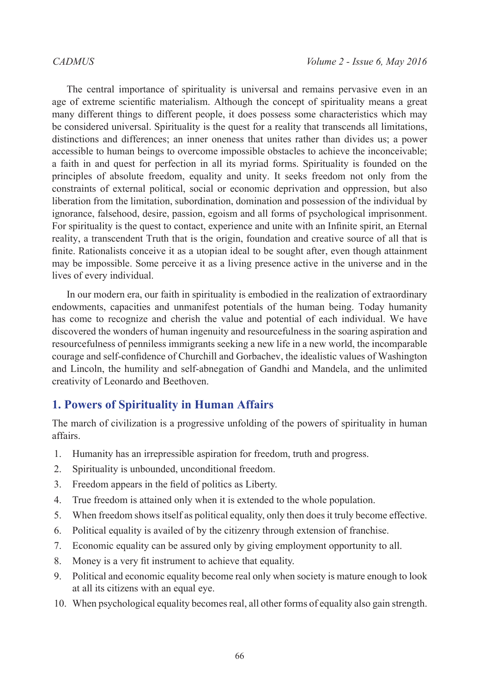The central importance of spirituality is universal and remains pervasive even in an age of extreme scientific materialism. Although the concept of spirituality means a great many different things to different people, it does possess some characteristics which may be considered universal. Spirituality is the quest for a reality that transcends all limitations, distinctions and differences; an inner oneness that unites rather than divides us; a power accessible to human beings to overcome impossible obstacles to achieve the inconceivable; a faith in and quest for perfection in all its myriad forms. Spirituality is founded on the principles of absolute freedom, equality and unity. It seeks freedom not only from the constraints of external political, social or economic deprivation and oppression, but also liberation from the limitation, subordination, domination and possession of the individual by ignorance, falsehood, desire, passion, egoism and all forms of psychological imprisonment. For spirituality is the quest to contact, experience and unite with an Infinite spirit, an Eternal reality, a transcendent Truth that is the origin, foundation and creative source of all that is finite. Rationalists conceive it as a utopian ideal to be sought after, even though attainment may be impossible. Some perceive it as a living presence active in the universe and in the lives of every individual.

In our modern era, our faith in spirituality is embodied in the realization of extraordinary endowments, capacities and unmanifest potentials of the human being. Today humanity has come to recognize and cherish the value and potential of each individual. We have discovered the wonders of human ingenuity and resourcefulness in the soaring aspiration and resourcefulness of penniless immigrants seeking a new life in a new world, the incomparable courage and self-confidence of Churchill and Gorbachev, the idealistic values of Washington and Lincoln, the humility and self-abnegation of Gandhi and Mandela, and the unlimited creativity of Leonardo and Beethoven.

# **1. Powers of Spirituality in Human Affairs**

The march of civilization is a progressive unfolding of the powers of spirituality in human affairs.

- 1. Humanity has an irrepressible aspiration for freedom, truth and progress.
- 2. Spirituality is unbounded, unconditional freedom.
- 3. Freedom appears in the field of politics as Liberty.
- 4. True freedom is attained only when it is extended to the whole population.
- 5. When freedom shows itself as political equality, only then does it truly become effective.
- 6. Political equality is availed of by the citizenry through extension of franchise.
- 7. Economic equality can be assured only by giving employment opportunity to all.
- 8. Money is a very fit instrument to achieve that equality.
- 9. Political and economic equality become real only when society is mature enough to look at all its citizens with an equal eye.
- 10. When psychological equality becomes real, all other forms of equality also gain strength.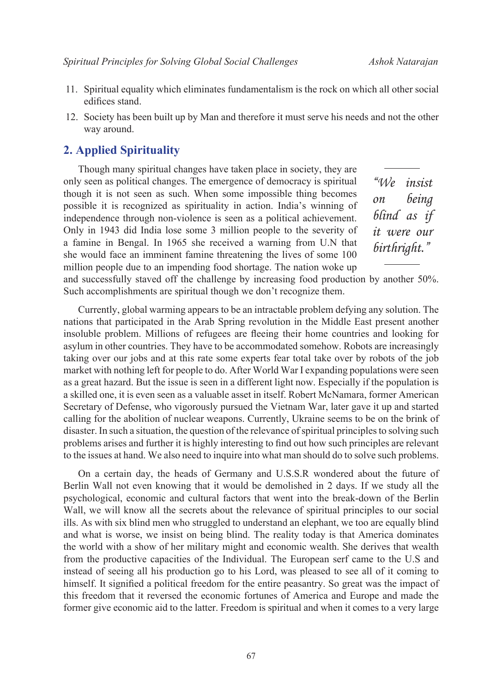- 11. Spiritual equality which eliminates fundamentalism is the rock on which all other social edifices stand.
- 12. Society has been built up by Man and therefore it must serve his needs and not the other way around.

### **2. Applied Spirituality**

Though many spiritual changes have taken place in society, they are only seen as political changes. The emergence of democracy is spiritual though it is not seen as such. When some impossible thing becomes possible it is recognized as spirituality in action. India's winning of independence through non-violence is seen as a political achievement. Only in 1943 did India lose some 3 million people to the severity of a famine in Bengal. In 1965 she received a warning from U.N that she would face an imminent famine threatening the lives of some 100 million people due to an impending food shortage. The nation woke up

*"We insist on being blind as if it were our birthright."*

and successfully staved off the challenge by increasing food production by another 50%. Such accomplishments are spiritual though we don't recognize them.

Currently, global warming appears to be an intractable problem defying any solution. The nations that participated in the Arab Spring revolution in the Middle East present another insoluble problem. Millions of refugees are fleeing their home countries and looking for asylum in other countries. They have to be accommodated somehow. Robots are increasingly taking over our jobs and at this rate some experts fear total take over by robots of the job market with nothing left for people to do. After World War I expanding populations were seen as a great hazard. But the issue is seen in a different light now. Especially if the population is a skilled one, it is even seen as a valuable asset in itself. Robert McNamara, former American Secretary of Defense, who vigorously pursued the Vietnam War, later gave it up and started calling for the abolition of nuclear weapons. Currently, Ukraine seems to be on the brink of disaster. In such a situation, the question of the relevance of spiritual principles to solving such problems arises and further it is highly interesting to find out how such principles are relevant to the issues at hand. We also need to inquire into what man should do to solve such problems.

On a certain day, the heads of Germany and U.S.S.R wondered about the future of Berlin Wall not even knowing that it would be demolished in 2 days. If we study all the psychological, economic and cultural factors that went into the break-down of the Berlin Wall, we will know all the secrets about the relevance of spiritual principles to our social ills. As with six blind men who struggled to understand an elephant, we too are equally blind and what is worse, we insist on being blind. The reality today is that America dominates the world with a show of her military might and economic wealth. She derives that wealth from the productive capacities of the Individual. The European serf came to the U.S and instead of seeing all his production go to his Lord, was pleased to see all of it coming to himself. It signified a political freedom for the entire peasantry. So great was the impact of this freedom that it reversed the economic fortunes of America and Europe and made the former give economic aid to the latter. Freedom is spiritual and when it comes to a very large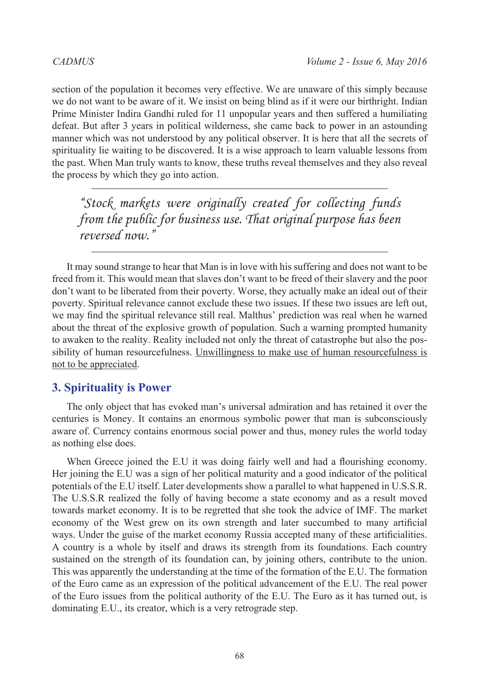section of the population it becomes very effective. We are unaware of this simply because we do not want to be aware of it. We insist on being blind as if it were our birthright. Indian Prime Minister Indira Gandhi ruled for 11 unpopular years and then suffered a humiliating defeat. But after 3 years in political wilderness, she came back to power in an astounding manner which was not understood by any political observer. It is here that all the secrets of spirituality lie waiting to be discovered. It is a wise approach to learn valuable lessons from the past. When Man truly wants to know, these truths reveal themselves and they also reveal the process by which they go into action.

*"Stock markets were originally created for collecting funds from the public for business use. That original purpose has been reversed now."*

It may sound strange to hear that Man is in love with his suffering and does not want to be freed from it. This would mean that slaves don't want to be freed of their slavery and the poor don't want to be liberated from their poverty. Worse, they actually make an ideal out of their poverty. Spiritual relevance cannot exclude these two issues. If these two issues are left out, we may find the spiritual relevance still real. Malthus' prediction was real when he warned about the threat of the explosive growth of population. Such a warning prompted humanity to awaken to the reality. Reality included not only the threat of catastrophe but also the possibility of human resourcefulness. Unwillingness to make use of human resourcefulness is not to be appreciated.

## **3. Spirituality is Power**

The only object that has evoked man's universal admiration and has retained it over the centuries is Money. It contains an enormous symbolic power that man is subconsciously aware of. Currency contains enormous social power and thus, money rules the world today as nothing else does.

When Greece joined the E.U it was doing fairly well and had a flourishing economy. Her joining the E.U was a sign of her political maturity and a good indicator of the political potentials of the E.U itself. Later developments show a parallel to what happened in U.S.S.R. The U.S.S.R realized the folly of having become a state economy and as a result moved towards market economy. It is to be regretted that she took the advice of IMF. The market economy of the West grew on its own strength and later succumbed to many artificial ways. Under the guise of the market economy Russia accepted many of these artificialities. A country is a whole by itself and draws its strength from its foundations. Each country sustained on the strength of its foundation can, by joining others, contribute to the union. This was apparently the understanding at the time of the formation of the E.U. The formation of the Euro came as an expression of the political advancement of the E.U. The real power of the Euro issues from the political authority of the E.U. The Euro as it has turned out, is dominating E.U., its creator, which is a very retrograde step.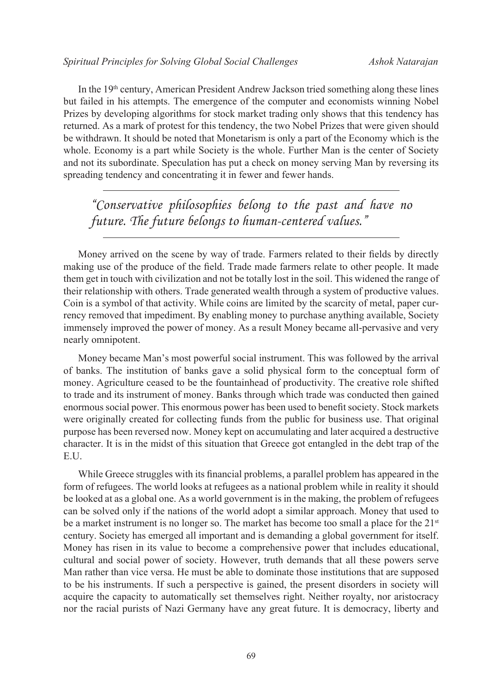In the 19th century, American President Andrew Jackson tried something along these lines but failed in his attempts. The emergence of the computer and economists winning Nobel Prizes by developing algorithms for stock market trading only shows that this tendency has returned. As a mark of protest for this tendency, the two Nobel Prizes that were given should be withdrawn. It should be noted that Monetarism is only a part of the Economy which is the whole. Economy is a part while Society is the whole. Further Man is the center of Society and not its subordinate. Speculation has put a check on money serving Man by reversing its spreading tendency and concentrating it in fewer and fewer hands.

*"Conservative philosophies belong to the past and have no future. The future belongs to human-centered values."*

Money arrived on the scene by way of trade. Farmers related to their fields by directly making use of the produce of the field. Trade made farmers relate to other people. It made them get in touch with civilization and not be totally lost in the soil. This widened the range of their relationship with others. Trade generated wealth through a system of productive values. Coin is a symbol of that activity. While coins are limited by the scarcity of metal, paper currency removed that impediment. By enabling money to purchase anything available, Society immensely improved the power of money. As a result Money became all-pervasive and very nearly omnipotent.

Money became Man's most powerful social instrument. This was followed by the arrival of banks. The institution of banks gave a solid physical form to the conceptual form of money. Agriculture ceased to be the fountainhead of productivity. The creative role shifted to trade and its instrument of money. Banks through which trade was conducted then gained enormous social power. This enormous power has been used to benefit society. Stock markets were originally created for collecting funds from the public for business use. That original purpose has been reversed now. Money kept on accumulating and later acquired a destructive character. It is in the midst of this situation that Greece got entangled in the debt trap of the E.U.

While Greece struggles with its financial problems, a parallel problem has appeared in the form of refugees. The world looks at refugees as a national problem while in reality it should be looked at as a global one. As a world government is in the making, the problem of refugees can be solved only if the nations of the world adopt a similar approach. Money that used to be a market instrument is no longer so. The market has become too small a place for the  $21<sup>st</sup>$ century. Society has emerged all important and is demanding a global government for itself. Money has risen in its value to become a comprehensive power that includes educational, cultural and social power of society. However, truth demands that all these powers serve Man rather than vice versa. He must be able to dominate those institutions that are supposed to be his instruments. If such a perspective is gained, the present disorders in society will acquire the capacity to automatically set themselves right. Neither royalty, nor aristocracy nor the racial purists of Nazi Germany have any great future. It is democracy, liberty and